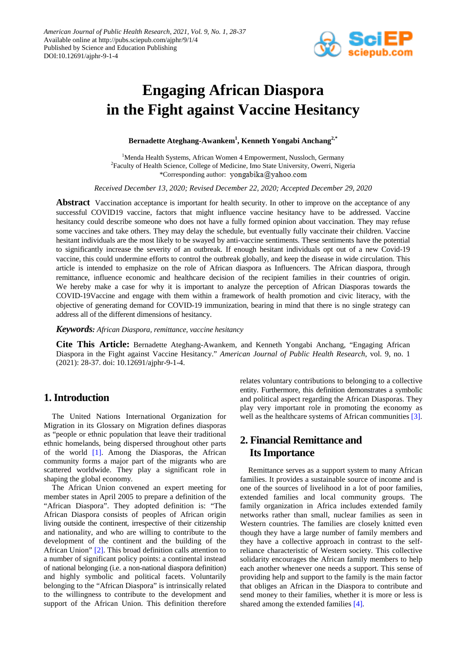

# **Engaging African Diaspora in the Fight against Vaccine Hesitancy**

**Bernadette Ateghang-Awankem1 , Kenneth Yongabi Anchang2,\***

<sup>1</sup>Menda Health Systems, African Women 4 Empowerment, Nussloch, Germany <sup>2</sup>Faculty of Health Science, College of Medicine, Imo State University, Owerri, Nigeria \*Corresponding author: yongabika@yahoo.com

*Received December 13, 2020; Revised December 22, 2020; Accepted December 29, 2020*

**Abstract** Vaccination acceptance is important for health security. In other to improve on the acceptance of any successful COVID19 vaccine, factors that might influence vaccine hesitancy have to be addressed. Vaccine hesitancy could describe someone who does not have a fully formed opinion about vaccination. They may refuse some vaccines and take others. They may delay the schedule, but eventually fully vaccinate their children. Vaccine hesitant individuals are the most likely to be swayed by anti-vaccine sentiments. These sentiments have the potential to significantly increase the severity of an outbreak. If enough hesitant individuals opt out of a new Covid-19 vaccine, this could undermine efforts to control the outbreak globally, and keep the disease in wide circulation. This article is intended to emphasize on the role of African diaspora as Influencers. The African diaspora, through remittance, influence economic and healthcare decision of the recipient families in their countries of origin. We hereby make a case for why it is important to analyze the perception of African Diasporas towards the COVID-19Vaccine and engage with them within a framework of health promotion and civic literacy, with the objective of generating demand for COVID-19 immunization, bearing in mind that there is no single strategy can address all of the different dimensions of hesitancy.

*Keywords: African Diaspora, remittance, vaccine hesitancy*

**Cite This Article:** Bernadette Ateghang-Awankem, and Kenneth Yongabi Anchang, "Engaging African Diaspora in the Fight against Vaccine Hesitancy." *American Journal of Public Health Research*, vol. 9, no. 1 (2021): 28-37. doi: 10.12691/ajphr-9-1-4.

## **1. Introduction**

The United Nations International Organization for Migration in its Glossary on Migration defines diasporas as "people or ethnic population that leave their traditional ethnic homelands, being dispersed throughout other parts of the world [\[1\].](#page-7-0) Among the Diasporas, the African community forms a major part of the migrants who are scattered worldwide. They play a significant role in shaping the global economy.

The African Union convened an expert meeting for member states in April 2005 to prepare a definition of the "African Diaspora". They adopted definition is: "The African Diaspora consists of peoples of African origin living outside the continent, irrespective of their citizenship and nationality, and who are willing to contribute to the development of the continent and the building of the African Union" [\[2\].](#page-7-1) This broad definition calls attention to a number of significant policy points: a continental instead of national belonging (i.e. a non-national diaspora definition) and highly symbolic and political facets. Voluntarily belonging to the "African Diaspora" is intrinsically related to the willingness to contribute to the development and support of the African Union. This definition therefore

relates voluntary contributions to belonging to a collective entity. Furthermore, this definition demonstrates a symbolic and political aspect regarding the African Diasporas. They play very important role in promoting the economy as well as the healthcare systems of African communities [\[3\].](#page-7-2)

## **2. Financial Remittance and Its Importance**

Remittance serves as a support system to many African families. It provides a sustainable source of income and is one of the sources of livelihood in a lot of poor families, extended families and local community groups. The family organization in Africa includes extended family networks rather than small, nuclear families as seen in Western countries. The families are closely knitted even though they have a large number of family members and they have a collective approach in contrast to the selfreliance characteristic of Western society. This collective solidarity encourages the African family members to help each another whenever one needs a support. This sense of providing help and support to the family is the main factor that obliges an African in the Diaspora to contribute and send money to their families, whether it is more or less is shared among the extended families [\[4\].](#page-8-0)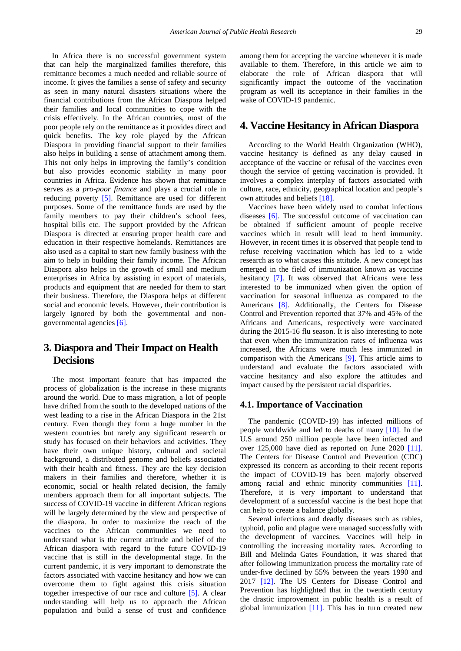In Africa there is no successful government system that can help the marginalized families therefore, this remittance becomes a much needed and reliable source of income. It gives the families a sense of safety and security as seen in many natural disasters situations where the financial contributions from the African Diaspora helped their families and local communities to cope with the crisis effectively. In the African countries, most of the poor people rely on the remittance as it provides direct and quick benefits. The key role played by the African Diaspora in providing financial support to their families also helps in building a sense of attachment among them. This not only helps in improving the family's condition but also provides economic stability in many poor countries in Africa. Evidence has shown that remittance serves as a *pro-poor finance* and plays a crucial role in reducing poverty [\[5\].](#page-8-1) Remittance are used for different purposes. Some of the remittance funds are used by the family members to pay their children's school fees, hospital bills etc. The support provided by the African Diaspora is directed at ensuring proper health care and education in their respective homelands. Remittances are also used as a capital to start new family business with the aim to help in building their family income. The African Diaspora also helps in the growth of small and medium enterprises in Africa by assisting in export of materials, products and equipment that are needed for them to start their business. Therefore, the Diaspora helps at different social and economic levels. However, their contribution is largely ignored by both the governmental and nongovernmental agencies [\[6\].](#page-8-2)

## **3. Diaspora and Their Impact on Health Decisions**

The most important feature that has impacted the process of globalization is the increase in these migrants around the world. Due to mass migration, a lot of people have drifted from the south to the developed nations of the west leading to a rise in the African Diaspora in the 21st century. Even though they form a huge number in the western countries but rarely any significant research or study has focused on their behaviors and activities. They have their own unique history, cultural and societal background, a distributed genome and beliefs associated with their health and fitness. They are the key decision makers in their families and therefore, whether it is economic, social or health related decision, the family members approach them for all important subjects. The success of COVID-19 vaccine in different African regions will be largely determined by the view and perspective of the diaspora. In order to maximize the reach of the vaccines to the African communities we need to understand what is the current attitude and belief of the African diaspora with regard to the future COVID-19 vaccine that is still in the developmental stage. In the current pandemic, it is very important to demonstrate the factors associated with vaccine hesitancy and how we can overcome them to fight against this crisis situation together irrespective of our race and culture [\[5\].](#page-8-1) A clear understanding will help us to approach the African population and build a sense of trust and confidence

among them for accepting the vaccine whenever it is made available to them. Therefore, in this article we aim to elaborate the role of African diaspora that will significantly impact the outcome of the vaccination program as well its acceptance in their families in the wake of COVID-19 pandemic.

## **4. Vaccine Hesitancy in African Diaspora**

According to the World Health Organization (WHO), vaccine hesitancy is defined as any delay caused in acceptance of the vaccine or refusal of the vaccines even though the service of getting vaccination is provided. It involves a complex interplay of factors associated with culture, race, ethnicity, geographical location and people's own attitudes and beliefs [\[18\].](#page-8-3)

Vaccines have been widely used to combat infectious diseases [\[6\].](#page-8-2) The successful outcome of vaccination can be obtained if sufficient amount of people receive vaccines which in result will lead to herd immunity. However, in recent times it is observed that people tend to refuse receiving vaccination which has led to a wide research as to what causes this attitude. A new concept has emerged in the field of immunization known as vaccine hesitancy [\[7\].](#page-8-4) It was observed that Africans were less interested to be immunized when given the option of vaccination for seasonal influenza as compared to the Americans [\[8\].](#page-8-5) Additionally, the Centers for Disease Control and Prevention reported that 37% and 45% of the Africans and Americans, respectively were vaccinated during the 2015-16 flu season. It is also interesting to note that even when the immunization rates of influenza was increased, the Africans were much less immunized in comparison with the Americans [\[9\].](#page-8-6) This article aims to understand and evaluate the factors associated with vaccine hesitancy and also explore the attitudes and impact caused by the persistent racial disparities.

#### **4.1. Importance of Vaccination**

The pandemic (COVID-19) has infected millions of people worldwide and led to deaths of many [\[10\].](#page-8-7) In the U.S around 250 million people have been infected and over 125,000 have died as reported on June 2020 [\[11\].](#page-8-8) The Centers for Disease Control and Prevention (CDC) expressed its concern as according to their recent reports the impact of COVID-19 has been majorly observed among racial and ethnic minority communities [\[11\].](#page-8-8) Therefore, it is very important to understand that development of a successful vaccine is the best hope that can help to create a balance globally.

Several infections and deadly diseases such as rabies, typhoid, polio and plague were managed successfully with the development of vaccines. Vaccines will help in controlling the increasing mortality rates. According to Bill and Melinda Gates Foundation, it was shared that after following immunization process the mortality rate of under-five declined by 55% between the years 1990 and 2017 [\[12\].](#page-8-9) The US Centers for Disease Control and Prevention has highlighted that in the twentieth century the drastic improvement in public health is a result of global immunization  $[11]$ . This has in turn created new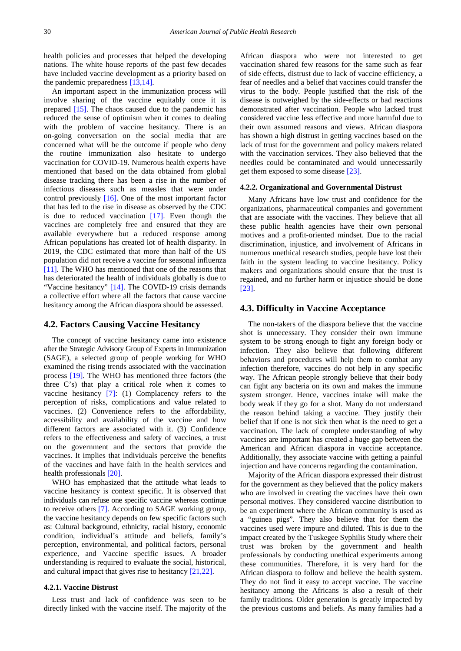health policies and processes that helped the developing nations. The white house reports of the past few decades have included vaccine development as a priority based on the pandemic preparedness [\[13,14\].](#page-8-10)

An important aspect in the immunization process will involve sharing of the vaccine equitably once it is prepared [\[15\].](#page-8-11) The chaos caused due to the pandemic has reduced the sense of optimism when it comes to dealing with the problem of vaccine hesitancy. There is an on-going conversation on the social media that are concerned what will be the outcome if people who deny the routine immunization also hesitate to undergo vaccination for COVID-19. Numerous health experts have mentioned that based on the data obtained from global disease tracking there has been a rise in the number of infectious diseases such as measles that were under control previously [\[16\].](#page-8-12) One of the most important factor that has led to the rise in disease as observed by the CDC is due to reduced vaccination [\[17\].](#page-8-13) Even though the vaccines are completely free and ensured that they are available everywhere but a reduced response among African populations has created lot of health disparity. In 2019, the CDC estimated that more than half of the US population did not receive a vaccine for seasonal influenza [\[11\].](#page-8-8) The WHO has mentioned that one of the reasons that has deteriorated the health of individuals globally is due to "Vaccine hesitancy" [\[14\].](#page-8-14) The COVID-19 crisis demands a collective effort where all the factors that cause vaccine hesitancy among the African diaspora should be assessed.

#### **4.2. Factors Causing Vaccine Hesitancy**

The concept of vaccine hesitancy came into existence after the Strategic Advisory Group of Experts in Immunization (SAGE), a selected group of people working for WHO examined the rising trends associated with the vaccination process [\[19\].](#page-8-15) The WHO has mentioned three factors (the three C's) that play a critical role when it comes to vaccine hesitancy [\[7\]:](#page-8-4) (1) Complacency refers to the perception of risks, complications and value related to vaccines. (2) Convenience refers to the affordability, accessibility and availability of the vaccine and how different factors are associated with it. (3) Confidence refers to the effectiveness and safety of vaccines, a trust on the government and the sectors that provide the vaccines. It implies that individuals perceive the benefits of the vaccines and have faith in the health services and health professionals [\[20\].](#page-8-16)

WHO has emphasized that the attitude what leads to vaccine hesitancy is context specific. It is observed that individuals can refuse one specific vaccine whereas continue to receive others [\[7\].](#page-8-4) According to SAGE working group, the vaccine hesitancy depends on few specific factors such as: Cultural background, ethnicity, racial history, economic condition, individual's attitude and beliefs, family's perception, environmental, and political factors, personal experience, and Vaccine specific issues. A broader understanding is required to evaluate the social, historical, and cultural impact that gives rise to hesitancy [\[21,22\].](#page-8-17)

#### **4.2.1. Vaccine Distrust**

Less trust and lack of confidence was seen to be directly linked with the vaccine itself. The majority of the African diaspora who were not interested to get vaccination shared few reasons for the same such as fear of side effects, distrust due to lack of vaccine efficiency, a fear of needles and a belief that vaccines could transfer the virus to the body. People justified that the risk of the disease is outweighed by the side-effects or bad reactions demonstrated after vaccination. People who lacked trust considered vaccine less effective and more harmful due to their own assumed reasons and views. African diaspora has shown a high distrust in getting vaccines based on the lack of trust for the government and policy makers related with the vaccination services. They also believed that the needles could be contaminated and would unnecessarily get them exposed to some disease [\[23\].](#page-8-18)

#### **4.2.2. Organizational and Governmental Distrust**

Many Africans have low trust and confidence for the organizations, pharmaceutical companies and government that are associate with the vaccines. They believe that all these public health agencies have their own personal motives and a profit-oriented mindset. Due to the racial discrimination, injustice, and involvement of Africans in numerous unethical research studies, people have lost their faith in the system leading to vaccine hesitancy. Policy makers and organizations should ensure that the trust is regained, and no further harm or injustice should be done [\[23\].](#page-8-18)

#### **4.3. Difficulty in Vaccine Acceptance**

The non-takers of the diaspora believe that the vaccine shot is unnecessary. They consider their own immune system to be strong enough to fight any foreign body or infection. They also believe that following different behaviors and procedures will help them to combat any infection therefore, vaccines do not help in any specific way. The African people strongly believe that their body can fight any bacteria on its own and makes the immune system stronger. Hence, vaccines intake will make the body weak if they go for a shot. Many do not understand the reason behind taking a vaccine. They justify their belief that if one is not sick then what is the need to get a vaccination. The lack of complete understanding of why vaccines are important has created a huge gap between the American and African diaspora in vaccine acceptance. Additionally, they associate vaccine with getting a painful injection and have concerns regarding the contamination.

Majority of the African diaspora expressed their distrust for the government as they believed that the policy makers who are involved in creating the vaccines have their own personal motives. They considered vaccine distribution to be an experiment where the African community is used as a "guinea pigs". They also believe that for them the vaccines used were impure and diluted. This is due to the impact created by the Tuskegee Syphilis Study where their trust was broken by the government and health professionals by conducting unethical experiments among these communities. Therefore, it is very hard for the African diaspora to follow and believe the health system. They do not find it easy to accept vaccine. The vaccine hesitancy among the Africans is also a result of their family traditions. Older generation is greatly impacted by the previous customs and beliefs. As many families had a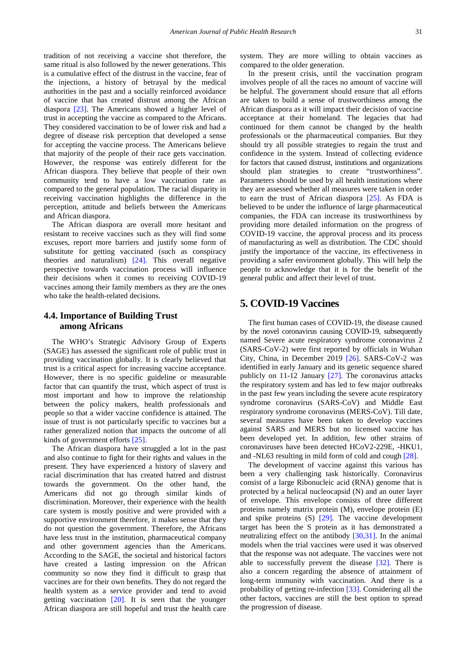tradition of not receiving a vaccine shot therefore, the same ritual is also followed by the newer generations. This is a cumulative effect of the distrust in the vaccine, fear of the injections, a history of betrayal by the medical authorities in the past and a socially reinforced avoidance of vaccine that has created distrust among the African diaspora [\[23\].](#page-8-18) The Americans showed a higher level of trust in accepting the vaccine as compared to the Africans. They considered vaccination to be of lower risk and had a degree of disease risk perception that developed a sense for accepting the vaccine process. The Americans believe that majority of the people of their race gets vaccination. However, the response was entirely different for the African diaspora. They believe that people of their own community tend to have a low vaccination rate as compared to the general population. The racial disparity in receiving vaccination highlights the difference in the perception, attitude and beliefs between the Americans and African diaspora.

The African diaspora are overall more hesitant and resistant to receive vaccines such as they will find some excuses, report more barriers and justify some form of substitute for getting vaccinated (such as conspiracy theories and naturalism) [\[24\].](#page-8-19) This overall negative perspective towards vaccination process will influence their decisions when it comes to receiving COVID-19 vaccines among their family members as they are the ones who take the health-related decisions.

### **4.4. Importance of Building Trust among Africans**

The WHO's Strategic Advisory Group of Experts (SAGE) has assessed the significant role of public trust in providing vaccination globally. It is clearly believed that trust is a critical aspect for increasing vaccine acceptance. However, there is no specific guideline or measurable factor that can quantify the trust, which aspect of trust is most important and how to improve the relationship between the policy makers, health professionals and people so that a wider vaccine confidence is attained. The issue of trust is not particularly specific to vaccines but a rather generalized notion that impacts the outcome of all kinds of government efforts [\[25\].](#page-8-20)

The African diaspora have struggled a lot in the past and also continue to fight for their rights and values in the present. They have experienced a history of slavery and racial discrimination that has created hatred and distrust towards the government. On the other hand, the Americans did not go through similar kinds of discrimination. Moreover, their experience with the health care system is mostly positive and were provided with a supportive environment therefore, it makes sense that they do not question the government. Therefore, the Africans have less trust in the institution, pharmaceutical company and other government agencies than the Americans. According to the SAGE, the societal and historical factors have created a lasting impression on the African community so now they find it difficult to grasp that vaccines are for their own benefits. They do not regard the health system as a service provider and tend to avoid getting vaccination  $[20]$ . It is seen that the younger African diaspora are still hopeful and trust the health care system. They are more willing to obtain vaccines as compared to the older generation.

In the present crisis, until the vaccination program involves people of all the races no amount of vaccine will be helpful. The government should ensure that all efforts are taken to build a sense of trustworthiness among the African diaspora as it will impact their decision of vaccine acceptance at their homeland. The legacies that had continued for them cannot be changed by the health professionals or the pharmaceutical companies. But they should try all possible strategies to regain the trust and confidence in the system. Instead of collecting evidence for factors that caused distrust, institutions and organizations should plan strategies to create "trustworthiness". Parameters should be used by all health institutions where they are assessed whether all measures were taken in order to earn the trust of African diaspora [\[25\].](#page-8-20) As FDA is believed to be under the influence of large pharmaceutical companies, the FDA can increase its trustworthiness by providing more detailed information on the progress of COVID-19 vaccine, the approval process and its process of manufacturing as well as distribution. The CDC should justify the importance of the vaccine, its effectiveness in providing a safer environment globally. This will help the people to acknowledge that it is for the benefit of the general public and affect their level of trust.

## **5. COVID-19 Vaccines**

The first human cases of COVID-19, the disease caused by the novel coronavirus causing COVID-19, subsequently named Severe acute respiratory syndrome coronavirus 2 (SARS-CoV-2) were first reported by officials in Wuhan City, China, in December 2019 [\[26\].](#page-8-21) SARS-CoV-2 was identified in early January and its genetic sequence shared publicly on 11-12 January [\[27\].](#page-8-22) The coronavirus attacks the respiratory system and has led to few major outbreaks in the past few years including the severe acute respiratory syndrome coronavirus (SARS-CoV) and Middle East respiratory syndrome coronavirus (MERS-CoV). Till date, several measures have been taken to develop vaccines against SARS and MERS but no licensed vaccine has been developed yet. In addition, few other strains of coronaviruses have been detected HCoV2-229E, -HKU1, and -NL63 resulting in mild form of cold and cough [\[28\].](#page-8-23)

The development of vaccine against this various has been a very challenging task historically. Coronavirus consist of a large Ribonucleic acid (RNA) genome that is protected by a helical nucleocapsid (N) and an outer layer of envelope. This envelope consists of three different proteins namely matrix protein (M), envelope protein (E) and spike proteins (S) [\[29\].](#page-8-24) The vaccine development target has been the S protein as it has demonstrated a neutralizing effect on the antibody [\[30,31\].](#page-8-25) In the animal models when the trial vaccines were used it was observed that the response was not adequate. The vaccines were not able to successfully prevent the disease [\[32\].](#page-8-26) There is also a concern regarding the absence of attainment of long-term immunity with vaccination. And there is a probability of getting re-infection [\[33\].](#page-8-27) Considering all the other factors, vaccines are still the best option to spread the progression of disease.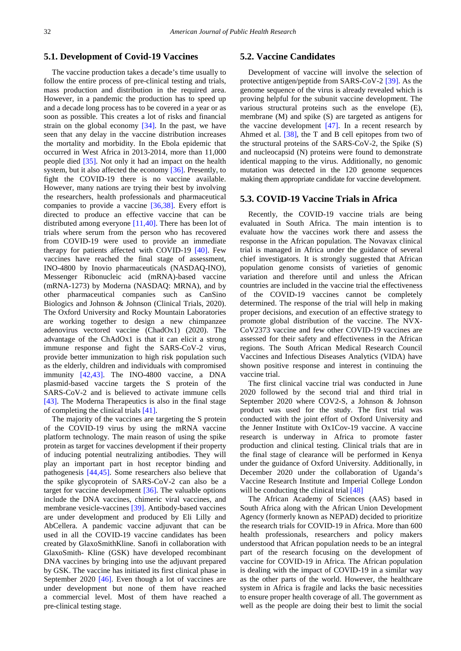## **5.1. Development of Covid-19 Vaccines**

The vaccine production takes a decade's time usually to follow the entire process of pre-clinical testing and trials, mass production and distribution in the required area. However, in a pandemic the production has to speed up and a decade long process has to be covered in a year or as soon as possible. This creates a lot of risks and financial strain on the global economy [\[34\].](#page-8-28) In the past, we have seen that any delay in the vaccine distribution increases the mortality and morbidity. In the Ebola epidemic that occurred in West Africa in 2013-2014, more than 11,000 people died [\[35\].](#page-8-29) Not only it had an impact on the health system, but it also affected the economy [\[36\].](#page-8-30) Presently, to fight the COVID-19 there is no vaccine available. However, many nations are trying their best by involving the researchers, health professionals and pharmaceutical companies to provide a vaccine [\[36,38\].](#page-8-30) Every effort is directed to produce an effective vaccine that can be distributed among everyone [\[11,40\].](#page-8-8) There has been lot of trials where serum from the person who has recovered from COVID-19 were used to provide an immediate therapy for patients affected with COVID-19 [\[40\].](#page-8-31) Few vaccines have reached the final stage of assessment, INO-4800 by Inovio pharmaceuticals (NASDAQ-INO), Messenger Ribonucleic acid (mRNA)-based vaccine (mRNA-1273) by Moderna (NASDAQ: MRNA), and by other pharmaceutical companies such as CanSino Biologics and Johnson & Johnson (Clinical Trials, 2020). The Oxford University and Rocky Mountain Laboratories are working together to design a new chimpanzee adenovirus vectored vaccine (ChadOx1) (2020). The advantage of the ChAdOx1 is that it can elicit a strong immune response and fight the SARS-CoV-2 virus, provide better immunization to high risk population such as the elderly, children and individuals with compromised immunity [\[42,43\].](#page-8-32) The INO-4800 vaccine, a DNA plasmid-based vaccine targets the S protein of the SARS-CoV-2 and is believed to activate immune cells [\[43\].](#page-8-33) The Moderna Therapeutics is also in the final stage of completing the clinical trials [\[41\].](#page-8-34)

The majority of the vaccines are targeting the S protein of the COVID-19 virus by using the mRNA vaccine platform technology. The main reason of using the spike protein as target for vaccines development if their property of inducing potential neutralizing antibodies. They will play an important part in host receptor binding and pathogenesis [\[44,45\].](#page-8-35) Some researchers also believe that the spike glycoprotein of SARS-CoV-2 can also be a target for vaccine development [\[36\].](#page-8-30) The valuable options include the DNA vaccines, chimeric viral vaccines, and membrane vesicle-vaccines [\[39\].](#page-8-36) Antibody-based vaccines are under development and produced by Eli Lilly and AbCellera. A pandemic vaccine adjuvant that can be used in all the COVID-19 vaccine candidates has been created by GlaxoSmithKline. Sanofi in collaboration with GlaxoSmith- Kline (GSK) have developed recombinant DNA vaccines by bringing into use the adjuvant prepared by GSK. The vaccine has initiated its first clinical phase in September 2020 [\[46\].](#page-8-37) Even though a lot of vaccines are under development but none of them have reached a commercial level. Most of them have reached a pre-clinical testing stage.

#### **5.2. Vaccine Candidates**

Development of vaccine will involve the selection of protective antigen/peptide from SARS-CoV-2 [\[39\].](#page-8-36) As the genome sequence of the virus is already revealed which is proving helpful for the subunit vaccine development. The various structural proteins such as the envelope (E), membrane (M) and spike (S) are targeted as antigens for the vaccine development  $[47]$ . In a recent research by Ahmed et al. [\[38\],](#page-8-39) the T and B cell epitopes from two of the structural proteins of the SARS-CoV-2, the Spike (S) and nucleocapsid (N) proteins were found to demonstrate identical mapping to the virus. Additionally, no genomic mutation was detected in the 120 genome sequences making them appropriate candidate for vaccine development.

#### **5.3. COVID-19 Vaccine Trials in Africa**

Recently, the COVID-19 vaccine trials are being evaluated in South Africa. The main intention is to evaluate how the vaccines work there and assess the response in the African population. The Novavax clinical trial is managed in Africa under the guidance of several chief investigators. It is strongly suggested that African population genome consists of varieties of genomic variation and therefore until and unless the African countries are included in the vaccine trial the effectiveness of the COVID-19 vaccines cannot be completely determined. The response of the trial will help in making proper decisions, and execution of an effective strategy to promote global distribution of the vaccine. The NVX-CoV2373 vaccine and few other COVID-19 vaccines are assessed for their safety and effectiveness in the African regions. The South African Medical Research Council Vaccines and Infectious Diseases Analytics (VIDA) have shown positive response and interest in continuing the vaccine trial.

The first clinical vaccine trial was conducted in June 2020 followed by the second trial and third trial in September 2020 where COV2-S, a Johnson & Johnson product was used for the study. The first trial was conducted with the joint effort of Oxford University and the Jenner Institute with Ox1Cov-19 vaccine. A vaccine research is underway in Africa to promote faster production and clinical testing. Clinical trials that are in the final stage of clearance will be performed in Kenya under the guidance of Oxford University. Additionally, in December 2020 under the collaboration of Uganda's Vaccine Research Institute and Imperial College London will be conducting the clinical trial [\[48\]](#page-8-40)

The African Academy of Sciences (AAS) based in South Africa along with the African Union Development Agency (formerly known as NEPAD) decided to prioritize the research trials for COVID-19 in Africa. More than 600 health professionals, researchers and policy makers understood that African population needs to be an integral part of the research focusing on the development of vaccine for COVID-19 in Africa. The African population is dealing with the impact of COVID-19 in a similar way as the other parts of the world. However, the healthcare system in Africa is fragile and lacks the basic necessities to ensure proper health coverage of all. The government as well as the people are doing their best to limit the social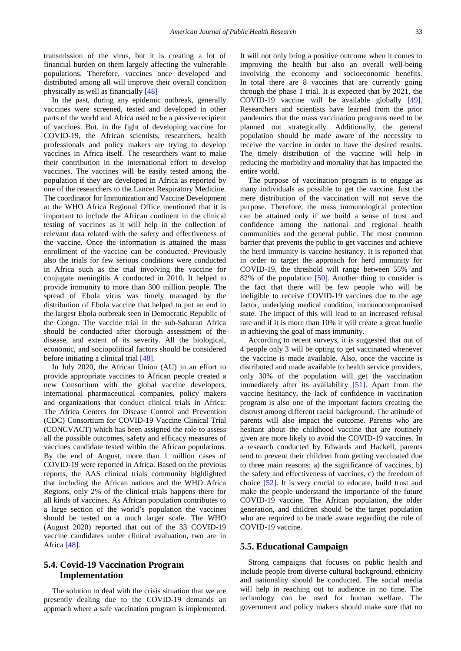transmission of the virus, but it is creating a lot of financial burden on them largely affecting the vulnerable populations. Therefore, vaccines once developed and distributed among all will improve their overall condition physically as well as financially [\[48\]](#page-8-40)

In the past, during any epidemic outbreak, generally vaccines were screened, tested and developed in other parts of the world and Africa used to be a passive recipient of vaccines. But, in the fight of developing vaccine for COVID-19, the African scientists, researchers, health professionals and policy makers are trying to develop vaccines in Africa itself. The researchers want to make their contribution in the international effort to develop vaccines. The vaccines will be easily tested among the population if they are developed in Africa as reported by one of the researchers to the Lancet Respiratory Medicine. The coordinator for Immunization and Vaccine Development at the WHO Africa Regional Office mentioned that it is important to include the African continent in the clinical testing of vaccines as it will help in the collection of relevant data related with the safety and effectiveness of the vaccine. Once the information is attained the mass enrollment of the vaccine can be conducted. Previously also the trials for few serious conditions were conducted in Africa such as the trial involving the vaccine for conjugate meningitis A conducted in 2010. It helped to provide immunity to more than 300 million people. The spread of Ebola virus was timely managed by the distribution of Ebola vaccine that helped to put an end to the largest Ebola outbreak seen in Democratic Republic of the Congo. The vaccine trial in the sub-Saharan Africa should be conducted after thorough assessment of the disease, and extent of its severity. All the biological, economic, and sociopolitical factors should be considered before initiating a clinical trial [\[48\].](#page-8-40)

In July 2020, the African Union (AU) in an effort to provide appropriate vaccines to African people created a new Consortium with the global vaccine developers, international pharmaceutical companies, policy makers and organizations that conduct clinical trials in Africa: The Africa Centers for Disease Control and Prevention (CDC) Consortium for COVID-19 Vaccine Clinical Trial (CONCVACT) which has been assigned the role to assess all the possible outcomes, safety and efficacy measures of vaccines candidate tested within the African populations. By the end of August, more than 1 million cases of COVID-19 were reported in Africa. Based on the previous reports, the AAS clinical trials community highlighted that including the African nations and the WHO Africa Regions, only 2% of the clinical trials happens there for all kinds of vaccines. As African population contributes to a large section of the world's population the vaccines should be tested on a much larger scale. The WHO (August 2020) reported that out of the 33 COVID-19 vaccine candidates under clinical evaluation, two are in Africa [\[48\].](#page-8-40)

## **5.4. Covid-19 Vaccination Program Implementation**

The solution to deal with the crisis situation that we are presently dealing due to the COVID-19 demands an approach where a safe vaccination program is implemented. It will not only bring a positive outcome when it comes to improving the health but also an overall well-being involving the economy and socioeconomic benefits. In total there are 8 vaccines that are currently going through the phase 1 trial. It is expected that by 2021, the COVID-19 vaccine will be available globally [\[49\].](#page-8-41) Researchers and scientists have learned from the prior pandemics that the mass vaccination programs need to be planned out strategically. Additionally, the general population should be made aware of the necessity to receive the vaccine in order to have the desired results. The timely distribution of the vaccine will help in reducing the morbidity and mortality that has impacted the entire world.

The purpose of vaccination program is to engage as many individuals as possible to get the vaccine. Just the mere distribution of the vaccination will not serve the purpose. Therefore, the mass immunological protection can be attained only if we build a sense of trust and confidence among the national and regional health communities and the general public. The most common barrier that prevents the public to get vaccines and achieve the herd immunity is vaccine hesitancy. It is reported that in order to target the approach for herd immunity for COVID-19, the threshold will range between 55% and 82% of the population [\[50\].](#page-8-42) Another thing to consider is the fact that there will be few people who will be ineligible to receive COVID-19 vaccines due to the age factor, underlying medical condition, immunocompromised state. The impact of this will lead to an increased refusal rate and if it is more than 10% it will create a great hurdle in achieving the goal of mass immunity.

According to recent surveys, it is suggested that out of 4 people only 3 will be opting to get vaccinated whenever the vaccine is made available. Also, once the vaccine is distributed and made available to health service providers, only 30% of the population will get the vaccination immediately after its availability [\[51\].](#page-9-0) Apart from the vaccine hesitancy, the lack of confidence in vaccination program is also one of the important factors creating the distrust among different racial background. The attitude of parents will also impact the outcome. Parents who are hesitant about the childhood vaccine that are routinely given are more likely to avoid the COVID-19 vaccines. In a research conducted by Edwards and Hackell, parents tend to prevent their children from getting vaccinated due to three main reasons: a) the significance of vaccines, b) the safety and effectiveness of vaccines, c) the freedom of choice [\[52\].](#page-9-1) It is very crucial to educate, build trust and make the people understand the importance of the future COVID-19 vaccine. The African population, the older generation, and children should be the target population who are required to be made aware regarding the role of COVID-19 vaccine.

#### **5.5. Educational Campaign**

Strong campaigns that focuses on public health and include people from diverse cultural background, ethnicity and nationality should be conducted. The social media will help in reaching out to audience in no time. The technology can be used for human welfare. The government and policy makers should make sure that no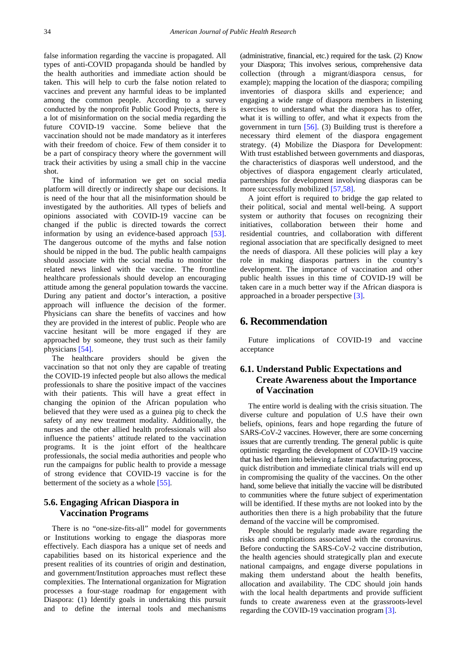false information regarding the vaccine is propagated. All types of anti-COVID propaganda should be handled by the health authorities and immediate action should be taken. This will help to curb the false notion related to vaccines and prevent any harmful ideas to be implanted among the common people. According to a survey conducted by the nonprofit Public Good Projects, there is a lot of misinformation on the social media regarding the future COVID-19 vaccine. Some believe that the vaccination should not be made mandatory as it interferes with their freedom of choice. Few of them consider it to be a part of conspiracy theory where the government will track their activities by using a small chip in the vaccine shot.

The kind of information we get on social media platform will directly or indirectly shape our decisions. It is need of the hour that all the misinformation should be investigated by the authorities. All types of beliefs and opinions associated with COVID-19 vaccine can be changed if the public is directed towards the correct information by using an evidence-based approach [\[53\].](#page-9-2) The dangerous outcome of the myths and false notion should be nipped in the bud. The public health campaigns should associate with the social media to monitor the related news linked with the vaccine. The frontline healthcare professionals should develop an encouraging attitude among the general population towards the vaccine. During any patient and doctor's interaction, a positive approach will influence the decision of the former. Physicians can share the benefits of vaccines and how they are provided in the interest of public. People who are vaccine hesitant will be more engaged if they are approached by someone, they trust such as their family physicians [\[54\].](#page-9-3)

The healthcare providers should be given the vaccination so that not only they are capable of treating the COVID-19 infected people but also allows the medical professionals to share the positive impact of the vaccines with their patients. This will have a great effect in changing the opinion of the African population who believed that they were used as a guinea pig to check the safety of any new treatment modality. Additionally, the nurses and the other allied health professionals will also influence the patients' attitude related to the vaccination programs. It is the joint effort of the healthcare professionals, the social media authorities and people who run the campaigns for public health to provide a message of strong evidence that COVID-19 vaccine is for the betterment of the society as a whole [\[55\].](#page-9-4)

## **5.6. Engaging African Diaspora in Vaccination Programs**

There is no "one-size-fits-all" model for governments or Institutions working to engage the diasporas more effectively. Each diaspora has a unique set of needs and capabilities based on its historical experience and the present realities of its countries of origin and destination, and government/Institution approaches must reflect these complexities. The International organization for Migration processes a four-stage roadmap for engagement with Diaspora: (1) Identify goals in undertaking this pursuit and to define the internal tools and mechanisms (administrative, financial, etc.) required for the task. (2) Know your Diaspora; This involves serious, comprehensive data collection (through a migrant/diaspora census, for example); mapping the location of the diaspora; compiling inventories of diaspora skills and experience; and engaging a wide range of diaspora members in listening exercises to understand what the diaspora has to offer, what it is willing to offer, and what it expects from the government in turn [\[56\].](#page-9-5) (3) Building trust is therefore a necessary third element of the diaspora engagement strategy. (4) Mobilize the Diaspora for Development: With trust established between governments and diasporas, the characteristics of diasporas well understood, and the objectives of diaspora engagement clearly articulated, partnerships for development involving diasporas can be more successfully mobilized [\[57,58\].](#page-9-6)

A joint effort is required to bridge the gap related to their political, social and mental well-being. A support system or authority that focuses on recognizing their initiatives, collaboration between their home and residential countries, and collaboration with different regional association that are specifically designed to meet the needs of diaspora. All these policies will play a key role in making diasporas partners in the country's development. The importance of vaccination and other public health issues in this time of COVID-19 will be taken care in a much better way if the African diaspora is approached in a broader perspective [\[3\].](#page-7-2)

## **6. Recommendation**

Future implications of COVID-19 and vaccine acceptance

## **6.1. Understand Public Expectations and Create Awareness about the Importance of Vaccination**

The entire world is dealing with the crisis situation. The diverse culture and population of U.S have their own beliefs, opinions, fears and hope regarding the future of SARS-CoV-2 vaccines. However, there are some concerning issues that are currently trending. The general public is quite optimistic regarding the development of COVID-19 vaccine that has led them into believing a faster manufacturing process, quick distribution and immediate clinical trials will end up in compromising the quality of the vaccines. On the other hand, some believe that initially the vaccine will be distributed to communities where the future subject of experimentation will be identified. If these myths are not looked into by the authorities then there is a high probability that the future demand of the vaccine will be compromised.

People should be regularly made aware regarding the risks and complications associated with the coronavirus. Before conducting the SARS-CoV-2 vaccine distribution, the health agencies should strategically plan and execute national campaigns, and engage diverse populations in making them understand about the health benefits, allocation and availability. The CDC should join hands with the local health departments and provide sufficient funds to create awareness even at the grassroots-level regarding the COVID-19 vaccination program [\[3\].](#page-7-2)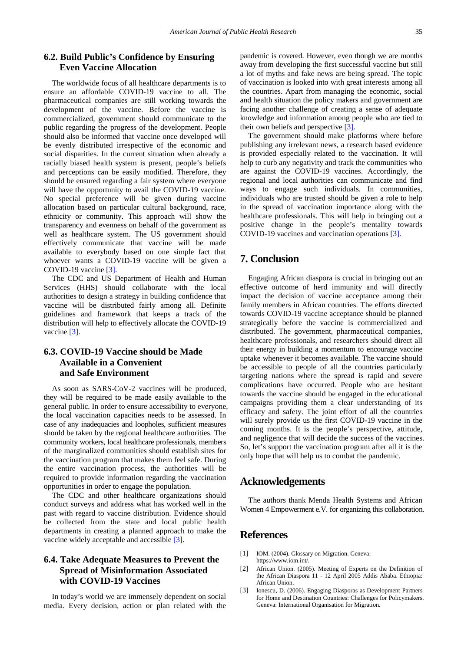## <span id="page-7-2"></span>**6.2. Build Public's Confidence by Ensuring Even Vaccine Allocation**

The worldwide focus of all healthcare departments is to ensure an affordable COVID-19 vaccine to all. The pharmaceutical companies are still working towards the development of the vaccine. Before the vaccine is commercialized, government should communicate to the public regarding the progress of the development. People should also be informed that vaccine once developed will be evenly distributed irrespective of the economic and social disparities. In the current situation when already a racially biased health system is present, people's beliefs and perceptions can be easily modified. Therefore, they should be ensured regarding a fair system where everyone will have the opportunity to avail the COVID-19 vaccine. No special preference will be given during vaccine allocation based on particular cultural background, race, ethnicity or community. This approach will show the transparency and evenness on behalf of the government as well as healthcare system. The US government should effectively communicate that vaccine will be made available to everybody based on one simple fact that whoever wants a COVID-19 vaccine will be given a COVID-19 vaccine [\[3\].](#page-7-2)

The CDC and US Department of Health and Human Services (HHS) should collaborate with the local authorities to design a strategy in building confidence that vaccine will be distributed fairly among all. Definite guidelines and framework that keeps a track of the distribution will help to effectively allocate the COVID-19 vaccine [\[3\].](#page-7-2)

## **6.3. COVID-19 Vaccine should be Made Available in a Convenient and Safe Environment**

As soon as SARS-CoV-2 vaccines will be produced, they will be required to be made easily available to the general public. In order to ensure accessibility to everyone, the local vaccination capacities needs to be assessed. In case of any inadequacies and loopholes, sufficient measures should be taken by the regional healthcare authorities. The community workers, local healthcare professionals, members of the marginalized communities should establish sites for the vaccination program that makes them feel safe. During the entire vaccination process, the authorities will be required to provide information regarding the vaccination opportunities in order to engage the population.

The CDC and other healthcare organizations should conduct surveys and address what has worked well in the past with regard to vaccine distribution. Evidence should be collected from the state and local public health departments in creating a planned approach to make the vaccine widely acceptable and accessible [\[3\].](#page-7-2)

## **6.4. Take Adequate Measures to Prevent the Spread of Misinformation Associated with COVID-19 Vaccines**

In today's world we are immensely dependent on social media. Every decision, action or plan related with the pandemic is covered. However, even though we are months away from developing the first successful vaccine but still a lot of myths and fake news are being spread. The topic of vaccination is looked into with great interests among all the countries. Apart from managing the economic, social and health situation the policy makers and government are facing another challenge of creating a sense of adequate knowledge and information among people who are tied to their own beliefs and perspective [\[3\].](#page-7-2)

The government should make platforms where before publishing any irrelevant news, a research based evidence is provided especially related to the vaccination. It will help to curb any negativity and track the communities who are against the COVID-19 vaccines. Accordingly, the regional and local authorities can communicate and find ways to engage such individuals. In communities, individuals who are trusted should be given a role to help in the spread of vaccination importance along with the healthcare professionals. This will help in bringing out a positive change in the people's mentality towards COVID-19 vaccines and vaccination operations [\[3\].](#page-7-2)

## **7. Conclusion**

Engaging African diaspora is crucial in bringing out an effective outcome of herd immunity and will directly impact the decision of vaccine acceptance among their family members in African countries. The efforts directed towards COVID-19 vaccine acceptance should be planned strategically before the vaccine is commercialized and distributed. The government, pharmaceutical companies, healthcare professionals, and researchers should direct all their energy in building a momentum to encourage vaccine uptake whenever it becomes available. The vaccine should be accessible to people of all the countries particularly targeting nations where the spread is rapid and severe complications have occurred. People who are hesitant towards the vaccine should be engaged in the educational campaigns providing them a clear understanding of its efficacy and safety. The joint effort of all the countries will surely provide us the first COVID-19 vaccine in the coming months. It is the people's perspective, attitude, and negligence that will decide the success of the vaccines. So, let's support the vaccination program after all it is the only hope that will help us to combat the pandemic.

## **Acknowledgements**

The authors thank Menda Health Systems and African Women 4 Empowerment e.V. for organizing this collaboration.

## **References**

- <span id="page-7-0"></span>[1] IOM. (2004). Glossary on Migration. Geneva: https://www.iom.int/.
- <span id="page-7-1"></span>[2] African Union. (2005). Meeting of Experts on the Definition of the African Diaspora 11 - 12 April 2005 Addis Ababa. Ethiopia: African Union.
- [3] Ionescu, D. (2006). Engaging Diasporas as Development Partners for Home and Destination Countries: Challenges for Policymakers. Geneva: International Organisation for Migration.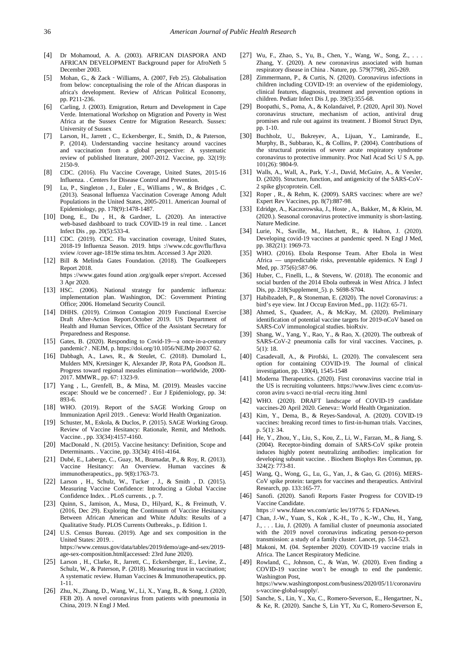- <span id="page-8-11"></span><span id="page-8-0"></span>[4] Dr Mohamoud, A. A. (2003). AFRICAN DIASPORA AND AFRICAN DEVELOPMENT Background paper for AfroNeth 5 December 2003.
- <span id="page-8-1"></span>[5] Mohan, G., & Zack‐Williams, A. (2007, Feb 25). Globalisation from below: conceptualising the role of the African diasporas in africa's development. Review of African Political Economy, pp. P211-236.
- <span id="page-8-2"></span>[6] Carling, J. (2003). Emigration, Return and Development in Cape Verde. International Workshop on Migration and Poverty in West Africa at the Sussex Centre for Migration Research. Sussex: University of Sussex
- <span id="page-8-4"></span>[7] Larson, H., Jarrett , C., Eckersberger, E., Smith, D., & Paterson, P. (2014). Understanding vaccine hesitancy around vaccines and vaccination from a global perspective: A systematic review of published literature, 2007-2012. Vaccine, pp. 32(19): 2150-9.
- <span id="page-8-5"></span>[8] CDC. (2016). Flu Vaccine Coverage, United States, 2015-16 Influenza. . Centers for Disease Control and Prevention.
- <span id="page-8-6"></span>[9] Lu, P., Singleton , J., Euler , E., Williams , W., & Bridges , C. (2013). Seasonal Influenza Vaccination Coverage Among Adult Populations in the United States, 2005-2011. American Journal of Epidemiology, pp. 178(9):1478-1487.
- <span id="page-8-7"></span>[10] Dong, E., Du, H., & Gardner, L. (2020). An interactive web-based dashboard to track COVID-19 in real time. . Lancet Infect Dis , pp. 20(5):533-4.
- <span id="page-8-8"></span>[11] CDC. (2019). CDC. Flu vaccination coverage, United States, 2018-19 Influenza Season. 2019. https ://www.cdc.gov/flu/fluva xview /cover age-1819e stima tes.htm. Accessed 3 Apr 2020.
- <span id="page-8-9"></span>[12] Bill & Melinda Gates Foundation. (2018). The Goalkeepers Report 2018.

https ://www.gates found ation .org/goalk eeper s/report. Accessed 3 Apr 2020.

- <span id="page-8-10"></span>[13] HSC. (2006). National strategy for pandemic influenza: implementation plan. Washington, DC: Government Printing Office; 2006. Homeland Security Council.
- <span id="page-8-14"></span>[14] DHHS. (2019). Crimson Contagion 2019 Functional Exercise Draft After-Action Report.October 2019. US Department of Health and Human Services, Office of the Assistant Secretary for Preparedness and Response.
- [15] Gates, B. (2020). Responding to Covid-19—a once-in-a-century pandemic? . NEJM, p. https://doi.org/10.1056/NEJMp 20037 62.
- <span id="page-8-12"></span>[16] Dabbagh, A., Laws, R., & Steulet, C. (2018). Dumolard L, Mulders MN, Kretsinger K, Alexander JP, Rota PA, Goodson JL. Progress toward regional measles elimination—worldwide, 2000- 2017. MMWR., pp. 67: 1323-9.
- <span id="page-8-13"></span>[17] Yang , L., Grenfell, B., & Mina, M. (2019). Measles vaccine escape: Should we be concerned? . Eur J Epidemiology, pp. 34: 893-6.
- <span id="page-8-3"></span>[18] WHO. (2019). Report of the SAGE Working Group on Immunization April 2019. . Geneva: World Health Organization.
- <span id="page-8-15"></span>[19] Schuster, M., Eskola, & Duclos, P. (2015). SAGE Working Group. Review of Vaccine Hesitancy: Rationale, Remit, and Methods. Vaccine. , pp. 33(34):4157-4160.
- <span id="page-8-16"></span>[20] MacDonald , N. (2015). Vaccine hesitancy: Definition, Scope and Determinants. . Vaccine, pp. 33(34): 4161-4164.
- <span id="page-8-17"></span>[21] Dubé, E., Laberge, C., Guay, M., Bramadat, P., & Roy, R. (2013). Vaccine Hesitancy: An Overview. Human vaccines & immunotherapeutics., pp. 9(8):1763-73.
- [22] Larson, H., Schulz, W., Tucker, J., & Smith, D. (2015). Measuring Vaccine Confidence: Introducing a Global Vaccine Confidence Index. . PLoS currents. , p. 7.
- <span id="page-8-18"></span>[23] Quinn, S., Jamison, A., Musa, D., Hilyard, K., & Freimuth, V. (2016, Dec 29). Exploring the Continuum of Vaccine Hesitancy Between African American and White Adults: Results of a Qualitative Study. PLOS Currents Outbreaks., p. Edition 1.
- <span id="page-8-19"></span>[24] U.S. Census Bureau. (2019). Age and sex composition in the United States: 2019. . https://www.census.gov/data/tables/2019/demo/age-and-sex/2019 age-sex-composition.html(accessed: 23rd June 2020).
- <span id="page-8-20"></span>[25] Larson , H., Clarke, R., Jarrett, C., Eckersberger, E., Levine, Z., Schulz, W., & Paterson, P. (2018). Measuring trust in vaccination; A systematic review. Human Vaccines & Immunotherapeutics, pp. 1-11.
- <span id="page-8-21"></span>[26] Zhu, N., Zhang, D., Wang, W., Li, X., Yang, B., & Song, J. (2020, FEB 20). A novel coronavirus from patients with pneumonia in China, 2019. N Engl J Med.
- <span id="page-8-22"></span>[27] Wu, F., Zhao, S., Yu, B., Chen, Y., Wang, W., Song, Z., . . . Zhang, Y. (2020). A new coronavirus associated with human respiratory disease in China . Nature, pp. 579(7798), 265-269.
- <span id="page-8-23"></span>[28] Zimmermann, P., & Curtis, N. (2020). Coronavirus infections in children including COVID-19: an overview of the epidemiology, clinical features, diagnosis, treatment and prevention options in children. Pediatr Infect Dis J, pp. 39(5):355-68.
- <span id="page-8-24"></span>[29] Boopathi, S., Poma, A., & Kolandaivel, P. (2020, April 30). Novel coronavirus structure, mechanism of action, antiviral drug promises and rule out against its treatment. J Biomol Struct Dyn, pp. 1-10.
- <span id="page-8-25"></span>[30] Buchholz, U., Bukreyev, A., Lijuan, Y., Lamirande, E., Murphy, B., Subbarao, K., & Collins, P. (2004). Contributions of the structural proteins of severe acute respiratory syndrome coronavirus to protective immunity. Proc Natl Acad Sci U S A, pp. 101(26): 9804-9.
- [31] Walls, A., Wall, A., Park, Y.-J., David, McGuire, A., & Veesler, D. (2020). Structure, function, and antigenicity of the SARS-CoV-2 spike glycoprotein. Cell.
- <span id="page-8-26"></span>[32] Roper, R., & Rehm, K. (2009). SARS vaccines: where are we? Expert Rev Vaccines, pp. 8(7):887-98.
- <span id="page-8-27"></span>[33] Edridge, A., Kaczorowska, J., Hoste , A., Bakker, M., & Klein, M. (2020.). Seasonal coronavirus protective immunity is short-lasting. Nature Medicine.
- <span id="page-8-28"></span>[34] Lurie, N., Saville, M., Hatchett, R., & Halton, J. (2020). Developing covid-19 vaccines at pandemic speed. N Engl J Med, pp. 382(21): 1969-73.
- <span id="page-8-29"></span>[35] WHO. (2016). Ebola Response Team. After Ebola in West Africa — unpredictable risks, preventable epidemics. N Engl J Med, pp. 375(6):587-96.
- <span id="page-8-30"></span>[36] Huber, C., Finelli, L., & Stevens, W. (2018). The economic and social burden of the 2014 Ebola outbreak in West Africa. J Infect Dis, pp. 218(Supplement\_5). p. S698-S704.
- [37] Habibzadeh, P., & Stoneman, E. (2020). The novel Coronavirus: a bird's eye view. Int J Occup Environ Med., pp. 11(2): 65-71.
- <span id="page-8-39"></span>[38] Ahmed, S., Quadeer, A., & McKay, M. (2020). Preliminary identification of potential vaccine targets for 2019-nCoV based on SARS-CoV immunological studies. bioRxiv.
- <span id="page-8-36"></span>[39] Shang, W., Yang, Y., Rao, Y., & Rao, X. (2020). The outbreak of SARS-CoV-2 pneumonia calls for viral vaccines. Vaccines, p. 5(1): 18.
- <span id="page-8-31"></span>[40] Casadevall, A., & Pirofski, L. (2020). The convalescent sera option for containing COVID-19. The Journal of clinical investigation, pp. 130(4), 1545-1548
- <span id="page-8-34"></span>[41] Moderna Therapeutics. (2020). First coronavirus vaccine trial in the US is recruiting volunteers. https://www.lives cienc e.com/uscoron aviru s-vacci ne-trial -recru iting .html
- <span id="page-8-32"></span>[42] WHO. (2020). DRAFT landscape of COVID-19 candidate vaccines-20 April 2020. Geneva:: World Health Organization.
- <span id="page-8-33"></span>[43] Kim, Y., Dema, B., & Reyes-Sandoval, A. (2020). COVID-19 vaccines: breaking record times to first-in-human trials. Vaccines, p. 5(1): 34.
- <span id="page-8-35"></span>[44] He, Y., Zhou, Y., Liu, S., Kou, Z., Li, W., Farzan, M., & Jiang, S. (2004). Receptor-binding domain of SARS-CoV spike protein induces highly potent neutralizing antibodies: implication for developing subunit vaccine. . Biochem Biophys Res Commun, pp. 324(2): 773-81.
- [45] Wang, Q., Wong, G., Lu, G., Yan, J., & Gao, G. (2016). MERS-CoV spike protein: targets for vaccines and therapeutics. Antiviral Research, pp. 133:165-77.
- <span id="page-8-37"></span>[46] Sanofi. (2020). Sanofi Reports Faster Progress for COVID-19 Vaccine Candidate.
	- https :// www.fdane ws.com/artic les/19776 5: FDANews.
- <span id="page-8-38"></span>[47] Chan, J.-W., Yuan, S., Kok, K.-H., To, K.-W., Chu, H., Yang, J., . . . Liu, J. (2020). A familial cluster of pneumonia associated with the 2019 novel coronavirus indicating person-to-person transmission: a study of a family cluster. Lancet, pp. 514-523.
- <span id="page-8-40"></span>[48] Makoni, M. (04. September 2020). COVID-19 vaccine trials in Africa. The Lancet Respiratory Medicine.
- <span id="page-8-41"></span>[49] Rowland, C., Johnson, C., & Wan, W. (2020). Even finding a COVID-19 vaccine won't be enough to end the pandemic. Washington Post, https://www.washingtonpost.com/business/2020/05/11/coronaviru

<span id="page-8-42"></span>s-vaccine-global-supply/. [50] Sanche, S., Lin, Y., Xu, C., Romero-Severson, E., Hengartner, N.,

& Ke, R. (2020). Sanche S, Lin YT, Xu C, Romero-Severson E,